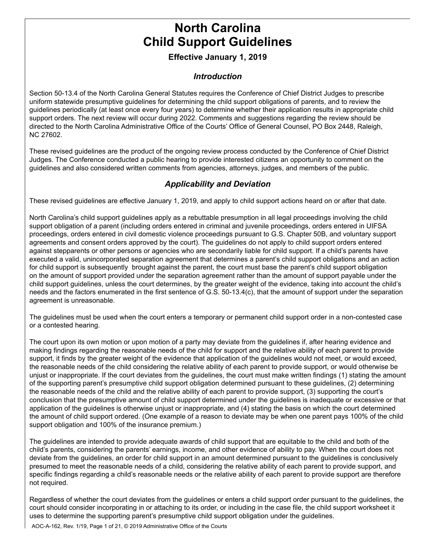# **North Carolina Child Support Guidelines**

#### **Effective January 1, 2019**

#### *Introduction*

Section 50-13.4 of the North Carolina General Statutes requires the Conference of Chief District Judges to prescribe uniform statewide presumptive guidelines for determining the child support obligations of parents, and to review the guidelines periodically (at least once every four years) to determine whether their application results in appropriate child support orders. The next review will occur during 2022. Comments and suggestions regarding the review should be directed to the North Carolina Administrative Office of the Courts' Office of General Counsel, PO Box 2448, Raleigh, NC 27602.

These revised guidelines are the product of the ongoing review process conducted by the Conference of Chief District Judges. The Conference conducted a public hearing to provide interested citizens an opportunity to comment on the guidelines and also considered written comments from agencies, attorneys, judges, and members of the public.

#### *Applicability and Deviation*

These revised guidelines are effective January 1, 2019, and apply to child support actions heard on or after that date.

North Carolina's child support guidelines apply as a rebuttable presumption in all legal proceedings involving the child support obligation of a parent (including orders entered in criminal and juvenile proceedings, orders entered in UIFSA proceedings, orders entered in civil domestic violence proceedings pursuant to G.S. Chapter 50B, and voluntary support agreements and consent orders approved by the court). The guidelines do not apply to child support orders entered against stepparents or other persons or agencies who are secondarily liable for child support. If a child's parents have executed a valid, unincorporated separation agreement that determines a parent's child support obligations and an action for child support is subsequently brought against the parent, the court must base the parent's child support obligation on the amount of support provided under the separation agreement rather than the amount of support payable under the child support guidelines, unless the court determines, by the greater weight of the evidence, taking into account the child's needs and the factors enumerated in the first sentence of G.S. 50-13.4(c), that the amount of support under the separation agreement is unreasonable.

The guidelines must be used when the court enters a temporary or permanent child support order in a non-contested case or a contested hearing.

The court upon its own motion or upon motion of a party may deviate from the guidelines if, after hearing evidence and making findings regarding the reasonable needs of the child for support and the relative ability of each parent to provide support, it finds by the greater weight of the evidence that application of the guidelines would not meet, or would exceed, the reasonable needs of the child considering the relative ability of each parent to provide support, or would otherwise be unjust or inappropriate. If the court deviates from the guidelines, the court must make written findings (1) stating the amount of the supporting parent's presumptive child support obligation determined pursuant to these guidelines, (2) determining the reasonable needs of the child and the relative ability of each parent to provide support, (3) supporting the court's conclusion that the presumptive amount of child support determined under the guidelines is inadequate or excessive or that application of the guidelines is otherwise unjust or inappropriate, and (4) stating the basis on which the court determined the amount of child support ordered. (One example of a reason to deviate may be when one parent pays 100% of the child support obligation and 100% of the insurance premium.)

The guidelines are intended to provide adequate awards of child support that are equitable to the child and both of the child's parents, considering the parents' earnings, income, and other evidence of ability to pay. When the court does not deviate from the guidelines, an order for child support in an amount determined pursuant to the guidelines is conclusively presumed to meet the reasonable needs of a child, considering the relative ability of each parent to provide support, and specific findings regarding a child's reasonable needs or the relative ability of each parent to provide support are therefore not required.

Regardless of whether the court deviates from the guidelines or enters a child support order pursuant to the guidelines, the court should consider incorporating in or attaching to its order, or including in the case file, the child support worksheet it uses to determine the supporting parent's presumptive child support obligation under the guidelines.

AOC-A-162, Rev. 1/19, Page 1 of 21, © 2019 Administrative Office of the Courts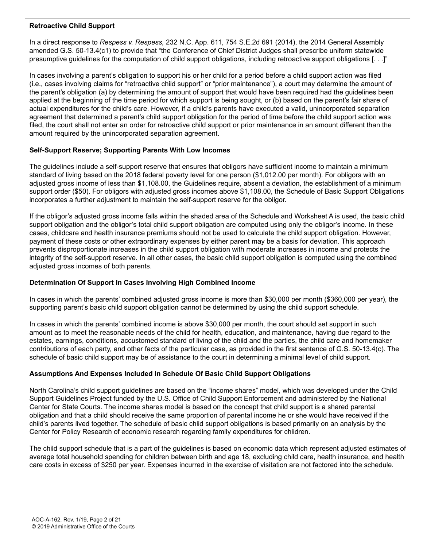#### **Retroactive Child Support**

In a direct response to *Respess v. Respess,* 232 N.C. App. 611, 754 S.E.2d 691 (2014), the 2014 General Assembly amended G.S. 50-13.4(c1) to provide that "the Conference of Chief District Judges shall prescribe uniform statewide presumptive guidelines for the computation of child support obligations, including retroactive support obligations [. . .]"

In cases involving a parent's obligation to support his or her child for a period before a child support action was filed (i.e., cases involving claims for "retroactive child support" or "prior maintenance"), a court may determine the amount of the parent's obligation (a) by determining the amount of support that would have been required had the guidelines been applied at the beginning of the time period for which support is being sought, or (b) based on the parent's fair share of actual expenditures for the child's care. However, if a child's parents have executed a valid, unincorporated separation agreement that determined a parent's child support obligation for the period of time before the child support action was filed, the court shall not enter an order for retroactive child support or prior maintenance in an amount different than the amount required by the unincorporated separation agreement.

#### **Self-Support Reserve; Supporting Parents With Low Incomes**

The guidelines include a self-support reserve that ensures that obligors have sufficient income to maintain a minimum standard of living based on the 2018 federal poverty level for one person (\$1,012.00 per month). For obligors with an adjusted gross income of less than \$1,108.00, the Guidelines require, absent a deviation, the establishment of a minimum support order (\$50). For obligors with adjusted gross incomes above \$1,108.00, the Schedule of Basic Support Obligations incorporates a further adjustment to maintain the self-support reserve for the obligor.

If the obligor's adjusted gross income falls within the shaded area of the Schedule and Worksheet A is used, the basic child support obligation and the obligor's total child support obligation are computed using only the obligor's income. In these cases, childcare and health insurance premiums should not be used to calculate the child support obligation. However, payment of these costs or other extraordinary expenses by either parent may be a basis for deviation. This approach prevents disproportionate increases in the child support obligation with moderate increases in income and protects the integrity of the self-support reserve. In all other cases, the basic child support obligation is computed using the combined adjusted gross incomes of both parents.

#### **Determination Of Support In Cases Involving High Combined Income**

In cases in which the parents' combined adjusted gross income is more than \$30,000 per month (\$360,000 per year), the supporting parent's basic child support obligation cannot be determined by using the child support schedule.

In cases in which the parents' combined income is above \$30,000 per month, the court should set support in such amount as to meet the reasonable needs of the child for health, education, and maintenance, having due regard to the estates, earnings, conditions, accustomed standard of living of the child and the parties, the child care and homemaker contributions of each party, and other facts of the particular case, as provided in the first sentence of G.S. 50-13.4(c). The schedule of basic child support may be of assistance to the court in determining a minimal level of child support.

#### **Assumptions And Expenses Included In Schedule Of Basic Child Support Obligations**

North Carolina's child support guidelines are based on the "income shares" model, which was developed under the Child Support Guidelines Project funded by the U.S. Office of Child Support Enforcement and administered by the National Center for State Courts. The income shares model is based on the concept that child support is a shared parental obligation and that a child should receive the same proportion of parental income he or she would have received if the child's parents lived together. The schedule of basic child support obligations is based primarily on an analysis by the Center for Policy Research of economic research regarding family expenditures for children.

The child support schedule that is a part of the guidelines is based on economic data which represent adjusted estimates of average total household spending for children between birth and age 18, excluding child care, health insurance, and health care costs in excess of \$250 per year. Expenses incurred in the exercise of visitation are not factored into the schedule.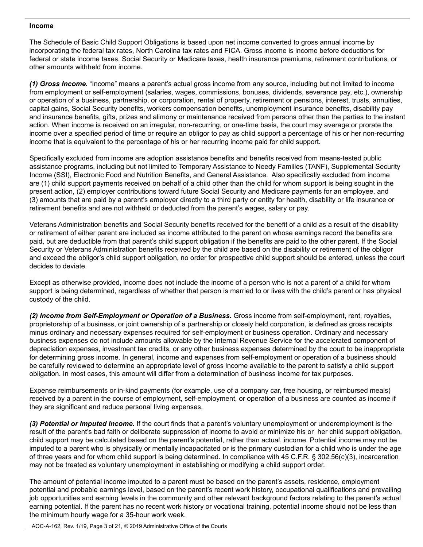#### **Income**

The Schedule of Basic Child Support Obligations is based upon net income converted to gross annual income by incorporating the federal tax rates, North Carolina tax rates and FICA. Gross income is income before deductions for federal or state income taxes, Social Security or Medicare taxes, health insurance premiums, retirement contributions, or other amounts withheld from income.

*(1) Gross Income.* "Income" means a parent's actual gross income from any source, including but not limited to income from employment or self-employment (salaries, wages, commissions, bonuses, dividends, severance pay, etc.), ownership or operation of a business, partnership, or corporation, rental of property, retirement or pensions, interest, trusts, annuities, capital gains, Social Security benefits, workers compensation benefits, unemployment insurance benefits, disability pay and insurance benefits, gifts, prizes and alimony or maintenance received from persons other than the parties to the instant action. When income is received on an irregular, non-recurring, or one-time basis, the court may average or prorate the income over a specified period of time or require an obligor to pay as child support a percentage of his or her non-recurring income that is equivalent to the percentage of his or her recurring income paid for child support.

Specifically excluded from income are adoption assistance benefits and benefits received from means-tested public assistance programs, including but not limited to Temporary Assistance to Needy Families (TANF), Supplemental Security Income (SSI), Electronic Food and Nutrition Benefits, and General Assistance. Also specifically excluded from income are (1) child support payments received on behalf of a child other than the child for whom support is being sought in the present action, (2) employer contributions toward future Social Security and Medicare payments for an employee, and (3) amounts that are paid by a parent's employer directly to a third party or entity for health, disability or life insurance or retirement benefits and are not withheld or deducted from the parent's wages, salary or pay.

Veterans Administration benefits and Social Security benefits received for the benefit of a child as a result of the disability or retirement of either parent are included as income attributed to the parent on whose earnings record the benefits are paid, but are deductible from that parent's child support obligation if the benefits are paid to the other parent. If the Social Security or Veterans Administration benefits received by the child are based on the disability or retirement of the obligor and exceed the obligor's child support obligation, no order for prospective child support should be entered, unless the court decides to deviate.

Except as otherwise provided, income does not include the income of a person who is not a parent of a child for whom support is being determined, regardless of whether that person is married to or lives with the child's parent or has physical custody of the child.

*(2) Income from Self-Employment or Operation of a Business.* Gross income from self-employment, rent, royalties, proprietorship of a business, or joint ownership of a partnership or closely held corporation, is defined as gross receipts minus ordinary and necessary expenses required for self-employment or business operation. Ordinary and necessary business expenses do not include amounts allowable by the Internal Revenue Service for the accelerated component of depreciation expenses, investment tax credits, or any other business expenses determined by the court to be inappropriate for determining gross income. In general, income and expenses from self-employment or operation of a business should be carefully reviewed to determine an appropriate level of gross income available to the parent to satisfy a child support obligation. In most cases, this amount will differ from a determination of business income for tax purposes.

Expense reimbursements or in-kind payments (for example, use of a company car, free housing, or reimbursed meals) received by a parent in the course of employment, self-employment, or operation of a business are counted as income if they are significant and reduce personal living expenses.

*(3) Potential or Imputed Income.* If the court finds that a parent's voluntary unemployment or underemployment is the result of the parent's bad faith or deliberate suppression of income to avoid or minimize his or her child support obligation, child support may be calculated based on the parent's potential, rather than actual, income. Potential income may not be imputed to a parent who is physically or mentally incapacitated or is the primary custodian for a child who is under the age of three years and for whom child support is being determined. In compliance with 45 C.F.R. § 302.56(c)(3), incarceration may not be treated as voluntary unemployment in establishing or modifying a child support order.

The amount of potential income imputed to a parent must be based on the parent's assets, residence, employment potential and probable earnings level, based on the parent's recent work history, occupational qualifications and prevailing job opportunities and earning levels in the community and other relevant background factors relating to the parent's actual earning potential. If the parent has no recent work history or vocational training, potential income should not be less than the minimum hourly wage for a 35-hour work week.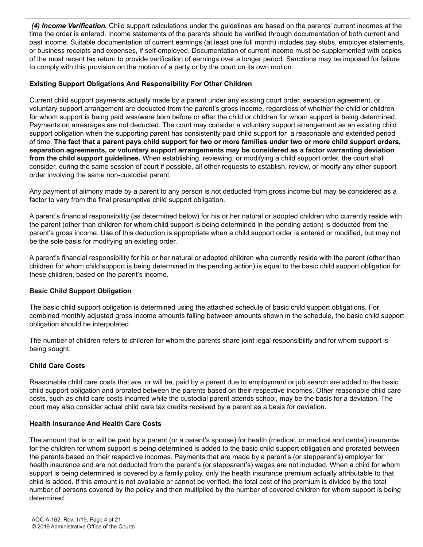*(4) Income Verification.* Child support calculations under the guidelines are based on the parents' current incomes at the time the order is entered. Income statements of the parents should be verified through documentation of both current and past income. Suitable documentation of current earnings (at least one full month) includes pay stubs, employer statements, or business receipts and expenses, if self-employed. Documentation of current income must be supplemented with copies of the most recent tax return to provide verification of earnings over a longer period. Sanctions may be imposed for failure to comply with this provision on the motion of a party or by the court on its own motion.

#### **Existing Support Obligations And Responsibility For Other Children**

Current child support payments actually made by a parent under any existing court order, separation agreement, or voluntary support arrangement are deducted from the parent's gross income, regardless of whether the child or children for whom support is being paid was/were born before or after the child or children for whom support is being determined. Payments on arrearages are not deducted. The court may consider a voluntary support arrangement as an existing child support obligation when the supporting parent has consistently paid child support for a reasonable and extended period of time. **The fact that a parent pays child support for two or more families under two or more child support orders, separation agreements, or voluntary support arrangements may be considered as a factor warranting deviation from the child support guidelines.** When establishing, reviewing, or modifying a child support order, the court shall consider, during the same session of court if possible, all other requests to establish, review, or modify any other support order involving the same non-custodial parent.

Any payment of alimony made by a parent to any person is not deducted from gross income but may be considered as a factor to vary from the final presumptive child support obligation.

A parent's financial responsibility (as determined below) for his or her natural or adopted children who currently reside with the parent (other than children for whom child support is being determined in the pending action) is deducted from the parent's gross income. Use of this deduction is appropriate when a child support order is entered or modified, but may not be the sole basis for modifying an existing order.

A parent's financial responsibility for his or her natural or adopted children who currently reside with the parent (other than children for whom child support is being determined in the pending action) is equal to the basic child support obligation for these children, based on the parent's income.

#### **Basic Child Support Obligation**

The basic child support obligation is determined using the attached schedule of basic child support obligations. For combined monthly adjusted gross income amounts falling between amounts shown in the schedule, the basic child support obligation should be interpolated.

The number of children refers to children for whom the parents share joint legal responsibility and for whom support is being sought.

#### **Child Care Costs**

Reasonable child care costs that are, or will be, paid by a parent due to employment or job search are added to the basic child support obligation and prorated between the parents based on their respective incomes. Other reasonable child care costs, such as child care costs incurred while the custodial parent attends school, may be the basis for a deviation. The court may also consider actual child care tax credits received by a parent as a basis for deviation.

#### **Health Insurance And Health Care Costs**

The amount that is or will be paid by a parent (or a parent's spouse) for health (medical, or medical and dental) insurance for the children for whom support is being determined is added to the basic child support obligation and prorated between the parents based on their respective incomes. Payments that are made by a parent's (or stepparent's) employer for health insurance and are not deducted from the parent's (or stepparent's) wages are not included. When a child for whom support is being determined is covered by a family policy, only the health insurance premium actually attributable to that child is added. If this amount is not available or cannot be verified, the total cost of the premium is divided by the total number of persons covered by the policy and then multiplied by the number of covered children for whom support is being determined.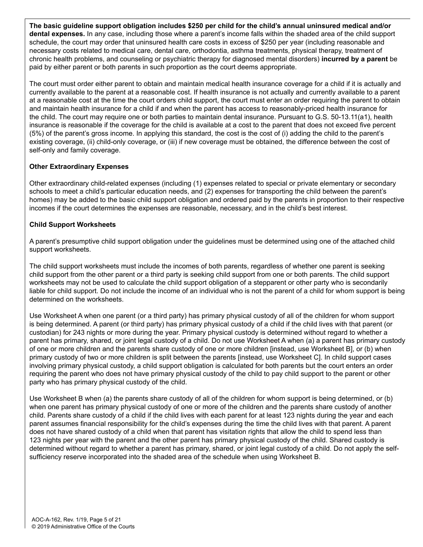**The basic guideline support obligation includes \$250 per child for the child's annual uninsured medical and/or dental expenses.** In any case, including those where a parent's income falls within the shaded area of the child support schedule, the court may order that uninsured health care costs in excess of \$250 per year (including reasonable and necessary costs related to medical care, dental care, orthodontia, asthma treatments, physical therapy, treatment of chronic health problems, and counseling or psychiatric therapy for diagnosed mental disorders) **incurred by a parent** be paid by either parent or both parents in such proportion as the court deems appropriate.

The court must order either parent to obtain and maintain medical health insurance coverage for a child if it is actually and currently available to the parent at a reasonable cost. If health insurance is not actually and currently available to a parent at a reasonable cost at the time the court orders child support, the court must enter an order requiring the parent to obtain and maintain health insurance for a child if and when the parent has access to reasonably-priced health insurance for the child. The court may require one or both parties to maintain dental insurance. Pursuant to G.S. 50-13.11(a1), health insurance is reasonable if the coverage for the child is available at a cost to the parent that does not exceed five percent (5%) of the parent's gross income. In applying this standard, the cost is the cost of (i) adding the child to the parent's existing coverage, (ii) child-only coverage, or (iii) if new coverage must be obtained, the difference between the cost of self-only and family coverage.

#### **Other Extraordinary Expenses**

Other extraordinary child-related expenses (including (1) expenses related to special or private elementary or secondary schools to meet a child's particular education needs, and (2) expenses for transporting the child between the parent's homes) may be added to the basic child support obligation and ordered paid by the parents in proportion to their respective incomes if the court determines the expenses are reasonable, necessary, and in the child's best interest.

#### **Child Support Worksheets**

A parent's presumptive child support obligation under the guidelines must be determined using one of the attached child support worksheets.

The child support worksheets must include the incomes of both parents, regardless of whether one parent is seeking child support from the other parent or a third party is seeking child support from one or both parents. The child support worksheets may not be used to calculate the child support obligation of a stepparent or other party who is secondarily liable for child support. Do not include the income of an individual who is not the parent of a child for whom support is being determined on the worksheets.

Use Worksheet A when one parent (or a third party) has primary physical custody of all of the children for whom support is being determined. A parent (or third party) has primary physical custody of a child if the child lives with that parent (or custodian) for 243 nights or more during the year. Primary physical custody is determined without regard to whether a parent has primary, shared, or joint legal custody of a child. Do not use Worksheet A when (a) a parent has primary custody of one or more children and the parents share custody of one or more children [instead, use Worksheet B], or (b) when primary custody of two or more children is split between the parents [instead, use Worksheet C]. In child support cases involving primary physical custody, a child support obligation is calculated for both parents but the court enters an order requiring the parent who does not have primary physical custody of the child to pay child support to the parent or other party who has primary physical custody of the child.

Use Worksheet B when (a) the parents share custody of all of the children for whom support is being determined, or (b) when one parent has primary physical custody of one or more of the children and the parents share custody of another child. Parents share custody of a child if the child lives with each parent for at least 123 nights during the year and each parent assumes financial responsibility for the child's expenses during the time the child lives with that parent. A parent does not have shared custody of a child when that parent has visitation rights that allow the child to spend less than 123 nights per year with the parent and the other parent has primary physical custody of the child. Shared custody is determined without regard to whether a parent has primary, shared, or joint legal custody of a child. Do not apply the selfsufficiency reserve incorporated into the shaded area of the schedule when using Worksheet B.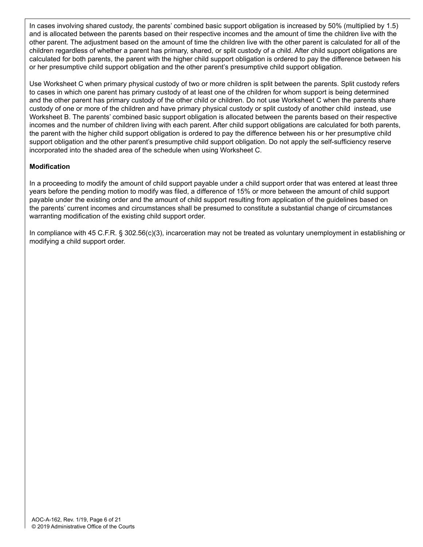In cases involving shared custody, the parents' combined basic support obligation is increased by 50% (multiplied by 1.5) and is allocated between the parents based on their respective incomes and the amount of time the children live with the other parent. The adjustment based on the amount of time the children live with the other parent is calculated for all of the children regardless of whether a parent has primary, shared, or split custody of a child. After child support obligations are calculated for both parents, the parent with the higher child support obligation is ordered to pay the difference between his or her presumptive child support obligation and the other parent's presumptive child support obligation.

Use Worksheet C when primary physical custody of two or more children is split between the parents. Split custody refers to cases in which one parent has primary custody of at least one of the children for whom support is being determined and the other parent has primary custody of the other child or children. Do not use Worksheet C when the parents share custody of one or more of the children and have primary physical custody or split custody of another child instead, use Worksheet B. The parents' combined basic support obligation is allocated between the parents based on their respective incomes and the number of children living with each parent. After child support obligations are calculated for both parents, the parent with the higher child support obligation is ordered to pay the difference between his or her presumptive child support obligation and the other parent's presumptive child support obligation. Do not apply the self-sufficiency reserve incorporated into the shaded area of the schedule when using Worksheet C.

#### **Modification**

In a proceeding to modify the amount of child support payable under a child support order that was entered at least three years before the pending motion to modify was filed, a difference of 15% or more between the amount of child support payable under the existing order and the amount of child support resulting from application of the guidelines based on the parents' current incomes and circumstances shall be presumed to constitute a substantial change of circumstances warranting modification of the existing child support order.

In compliance with 45 C.F.R. § 302.56(c)(3), incarceration may not be treated as voluntary unemployment in establishing or modifying a child support order.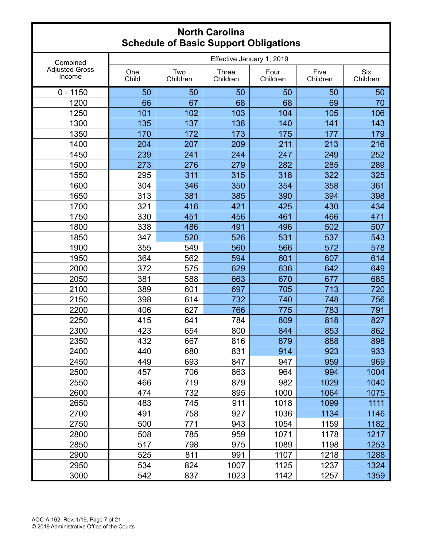| Combined                        | Effective January 1, 2019 |                 |                   |                  |                  |                        |  |
|---------------------------------|---------------------------|-----------------|-------------------|------------------|------------------|------------------------|--|
| <b>Adjusted Gross</b><br>Income | One<br>Child              | Two<br>Children | Three<br>Children | Four<br>Children | Five<br>Children | <b>Six</b><br>Children |  |
| $0 - 1150$                      | 50                        | 50              | 50                | 50               | 50               | 50                     |  |
| 1200                            | 66                        | 67              | 68                | 68               | 69               | 70                     |  |
| 1250                            | 101                       | 102             | 103               | 104              | 105              | 106                    |  |
| 1300                            | 135                       | 137             | 138               | 140              | 141              | 143                    |  |
| 1350                            | 170                       | 172             | 173               | 175              | 177              | 179                    |  |
| 1400                            | 204                       | 207             | 209               | 211              | 213              | 216                    |  |
| 1450                            | 239                       | 241             | 244               | 247              | 249              | 252                    |  |
| 1500                            | 273                       | 276             | 279               | 282              | 285              | 289                    |  |
| 1550                            | 295                       | 311             | 315               | 318              | 322              | 325                    |  |
| 1600                            | 304                       | 346             | 350               | 354              | 358              | 361                    |  |
| 1650                            | 313                       | 381             | 385               | 390              | 394              | 398                    |  |
| 1700                            | 321                       | 416             | 421               | 425              | 430              | 434                    |  |
| 1750                            | 330                       | 451             | 456               | 461              | 466              | 471                    |  |
| 1800                            | 338                       | 486             | 491               | 496              | 502              | 507                    |  |
| 1850                            | 347                       | 520             | 526               | 531              | 537              | 543                    |  |
| 1900                            | 355                       | 549             | 560               | 566              | 572              | 578                    |  |
| 1950                            | 364                       | 562             | 594               | 601              | 607              | 614                    |  |
| 2000                            | 372                       | 575             | 629               | 636              | 642              | 649                    |  |
| 2050                            | 381                       | 588             | 663               | 670              | 677              | 685                    |  |
| 2100                            | 389                       | 601             | 697               | 705              | 713              | 720                    |  |
| 2150                            | 398                       | 614             | 732               | 740              | 748              | 756                    |  |
| 2200                            | 406                       | 627             | 766               | 775              | 783              | 791                    |  |
| 2250                            | 415                       | 641             | 784               | 809              | 818              | 827                    |  |
| 2300                            | 423                       | 654             | 800               | 844              | 853              | 862                    |  |
| 2350                            | 432                       | 667             | 816               | 879              | 888              | 898                    |  |
| 2400                            | 440                       | 680             | 831               | 914              | 923              | 933                    |  |
| 2450                            | 449                       | 693             | 847               | 947              | 959              | 969                    |  |
| 2500                            | 457                       | 706             | 863               | 964              | 994              | 1004                   |  |
| 2550                            | 466                       | 719             | 879               | 982              | 1029             | 1040                   |  |
| 2600                            | 474                       | 732             | 895               | 1000             | 1064             | 1075                   |  |
| 2650                            | 483                       | 745             | 911               | 1018             | 1099             | 1111                   |  |
| 2700                            | 491                       | 758             | 927               | 1036             | 1134             | 1146                   |  |
| 2750                            | 500                       | 771             | 943               | 1054             | 1159             | 1182                   |  |
| 2800                            | 508                       | 785             | 959               | 1071             | 1178             | 1217                   |  |
| 2850                            | 517                       | 798             | 975               | 1089             | 1198             | 1253                   |  |
| 2900                            | 525                       | 811             | 991               | 1107             | 1218             | 1288                   |  |
| 2950                            | 534                       | 824             | 1007              | 1125             | 1237             | 1324                   |  |
| 3000                            | 542                       | 837             | 1023              | 1142             | 1257             | 1359                   |  |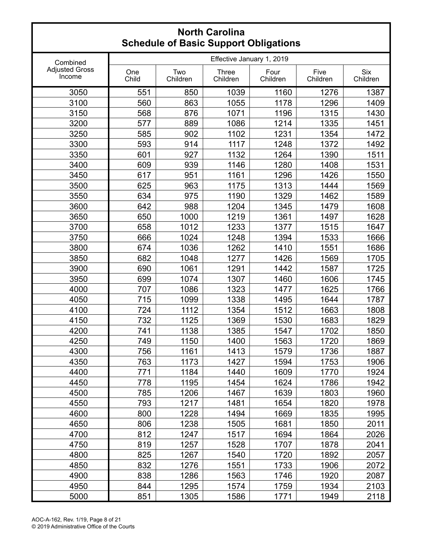|                                 |              |                           | r Basis Sapport Sprigations |                  |                  |                        |  |  |
|---------------------------------|--------------|---------------------------|-----------------------------|------------------|------------------|------------------------|--|--|
| Combined                        |              | Effective January 1, 2019 |                             |                  |                  |                        |  |  |
| <b>Adjusted Gross</b><br>Income | One<br>Child | Two<br>Children           | <b>Three</b><br>Children    | Four<br>Children | Five<br>Children | <b>Six</b><br>Children |  |  |
| 3050                            | 551          | 850                       | 1039                        | 1160             | 1276             | 1387                   |  |  |
| 3100                            | 560          | 863                       | 1055                        | 1178             | 1296             | 1409                   |  |  |
| 3150                            | 568          | 876                       | 1071                        | 1196             | 1315             | 1430                   |  |  |
| 3200                            | 577          | 889                       | 1086                        | 1214             | 1335             | 1451                   |  |  |
| 3250                            | 585          | 902                       | 1102                        | 1231             | 1354             | 1472                   |  |  |
| 3300                            | 593          | 914                       | 1117                        | 1248             | 1372             | 1492                   |  |  |
| 3350                            | 601          | 927                       | 1132                        | 1264             | 1390             | 1511                   |  |  |
| 3400                            | 609          | 939                       | 1146                        | 1280             | 1408             | 1531                   |  |  |
| 3450                            | 617          | 951                       | 1161                        | 1296             | 1426             | 1550                   |  |  |
| 3500                            | 625          | 963                       | 1175                        | 1313             | 1444             | 1569                   |  |  |
| 3550                            | 634          | 975                       | 1190                        | 1329             | 1462             | 1589                   |  |  |
| 3600                            | 642          | 988                       | 1204                        | 1345             | 1479             | 1608                   |  |  |
| 3650                            | 650          | 1000                      | 1219                        | 1361             | 1497             | 1628                   |  |  |
| 3700                            | 658          | 1012                      | 1233                        | 1377             | 1515             | 1647                   |  |  |
| 3750                            | 666          | 1024                      | 1248                        | 1394             | 1533             | 1666                   |  |  |
| 3800                            | 674          | 1036                      | 1262                        | 1410             | 1551             | 1686                   |  |  |
| 3850                            | 682          | 1048                      | 1277                        | 1426             | 1569             | 1705                   |  |  |
| 3900                            | 690          | 1061                      | 1291                        | 1442             | 1587             | 1725                   |  |  |
| 3950                            | 699          | 1074                      | 1307                        | 1460             | 1606             | 1745                   |  |  |
| 4000                            | 707          | 1086                      | 1323                        | 1477             | 1625             | 1766                   |  |  |
| 4050                            | 715          | 1099                      | 1338                        | 1495             | 1644             | 1787                   |  |  |
| 4100                            | 724          | 1112                      | 1354                        | 1512             | 1663             | 1808                   |  |  |
| 4150                            | 732          | 1125                      | 1369                        | 1530             | 1683             | 1829                   |  |  |
| 4200                            | 741          | 1138                      | 1385                        | 1547             | 1702             | 1850                   |  |  |
| 4250                            | 749          | 1150                      | 1400                        | 1563             | 1720             | 1869                   |  |  |
| 4300                            | 756          | 1161                      | 1413                        | 1579             | 1736             | 1887                   |  |  |
| 4350                            | 763          | 1173                      | 1427                        | 1594             | 1753             | 1906                   |  |  |
| 4400                            | 771          | 1184                      | 1440                        | 1609             | 1770             | 1924                   |  |  |
| 4450                            | 778          | 1195                      | 1454                        | 1624             | 1786             | 1942                   |  |  |
| 4500                            | 785          | 1206                      | 1467                        | 1639             | 1803             | 1960                   |  |  |
| 4550                            | 793          | 1217                      | 1481                        | 1654             | 1820             | 1978                   |  |  |
| 4600                            | 800          | 1228                      | 1494                        | 1669             | 1835             | 1995                   |  |  |
| 4650                            | 806          | 1238                      | 1505                        | 1681             | 1850             | 2011                   |  |  |
| 4700                            | 812          | 1247                      | 1517                        | 1694             | 1864             | 2026                   |  |  |
| 4750                            | 819          | 1257                      | 1528                        | 1707             | 1878             | 2041                   |  |  |
| 4800                            | 825          | 1267                      | 1540                        | 1720             | 1892             | 2057                   |  |  |
| 4850                            | 832          | 1276                      | 1551                        | 1733             | 1906             | 2072                   |  |  |
| 4900                            | 838          | 1286                      | 1563                        | 1746             | 1920             | 2087                   |  |  |
| 4950                            | 844          | 1295                      | 1574                        | 1759             | 1934             | 2103                   |  |  |
| 5000                            | 851          | 1305                      | 1586                        | 1771             | 1949             | 2118                   |  |  |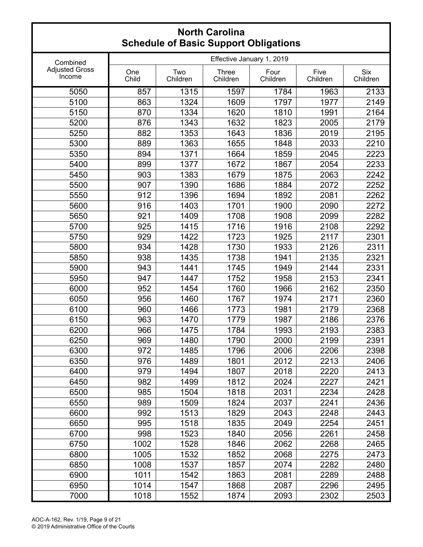|                                 |              |                 | urr                       | ש                |                  |                        |
|---------------------------------|--------------|-----------------|---------------------------|------------------|------------------|------------------------|
| Combined                        |              |                 | Effective January 1, 2019 |                  |                  |                        |
| <b>Adjusted Gross</b><br>Income | One<br>Child | Two<br>Children | <b>Three</b><br>Children  | Four<br>Children | Five<br>Children | <b>Six</b><br>Children |
| 5050                            | 857          | 1315            | 1597                      | 1784             | 1963             | 2133                   |
| 5100                            | 863          | 1324            | 1609                      | 1797             | 1977             | 2149                   |
| 5150                            | 870          | 1334            | 1620                      | 1810             | 1991             | 2164                   |
| 5200                            | 876          | 1343            | 1632                      | 1823             | 2005             | 2179                   |
| 5250                            | 882          | 1353            | 1643                      | 1836             | 2019             | 2195                   |
| 5300                            | 889          | 1363            | 1655                      | 1848             | 2033             | 2210                   |
| 5350                            | 894          | 1371            | 1664                      | 1859             | 2045             | 2223                   |
| 5400                            | 899          | 1377            | 1672                      | 1867             | 2054             | 2233                   |
| 5450                            | 903          | 1383            | 1679                      | 1875             | 2063             | 2242                   |
| 5500                            | 907          | 1390            | 1686                      | 1884             | 2072             | 2252                   |
| 5550                            | 912          | 1396            | 1694                      | 1892             | 2081             | 2262                   |
| 5600                            | 916          | 1403            | 1701                      | 1900             | 2090             | 2272                   |
| 5650                            | 921          | 1409            | 1708                      | 1908             | 2099             | 2282                   |
| 5700                            | 925          | 1415            | 1716                      | 1916             | 2108             | 2292                   |
| 5750                            | 929          | 1422            | 1723                      | 1925             | 2117             | 2301                   |
| 5800                            | 934          | 1428            | 1730                      | 1933             | 2126             | 2311                   |
| 5850                            | 938          | 1435            | 1738                      | 1941             | 2135             | 2321                   |
| 5900                            | 943          | 1441            | 1745                      | 1949             | 2144             | 2331                   |
| 5950                            | 947          | 1447            | 1752                      | 1958             | 2153             | 2341                   |
| 6000                            | 952          | 1454            | 1760                      | 1966             | 2162             | 2350                   |
| 6050                            | 956          | 1460            | 1767                      | 1974             | 2171             | 2360                   |
| 6100                            | 960          | 1466            | 1773                      | 1981             | 2179             | 2368                   |
| 6150                            | 963          | 1470            | 1779                      | 1987             | 2186             | 2376                   |
| 6200                            | 966          | 1475            | 1784                      | 1993             | 2193             | 2383                   |
| 6250                            | 969          | 1480            | 1790                      | 2000             | 2199             | 2391                   |
| 6300                            | 972          | 1485            | 1796                      | 2006             | 2206             | 2398                   |
| 6350                            | 976          | 1489            | 1801                      | 2012             | 2213             | 2406                   |
| 6400                            | 979          | 1494            | 1807                      | 2018             | 2220             | 2413                   |
| 6450                            | 982          | 1499            | 1812                      | 2024             | 2227             | 2421                   |
| 6500                            | 985          | 1504            | 1818                      | 2031             | 2234             | 2428                   |
| 6550                            | 989          | 1509            | 1824                      | 2037             | 2241             | 2436                   |
| 6600                            | 992          | 1513            | 1829                      | 2043             | 2248             | 2443                   |
| 6650                            | 995          | 1518            | 1835                      | 2049             | 2254             | 2451                   |
| 6700                            | 998          | 1523            | 1840                      | 2056             | 2261             | 2458                   |
| 6750                            | 1002         | 1528            | 1846                      | 2062             | 2268             | 2465                   |
| 6800                            | 1005         | 1532            | 1852                      | 2068             | 2275             | 2473                   |
| 6850                            | 1008         | 1537            | 1857                      | 2074             | 2282             | 2480                   |
| 6900                            | 1011         | 1542            | 1863                      | 2081             | 2289             | 2488                   |
| 6950                            | 1014         | 1547            | 1868                      | 2087             | 2296             | 2495                   |
| 7000                            | 1018         | 1552            | 1874                      | 2093             | 2302             | 2503                   |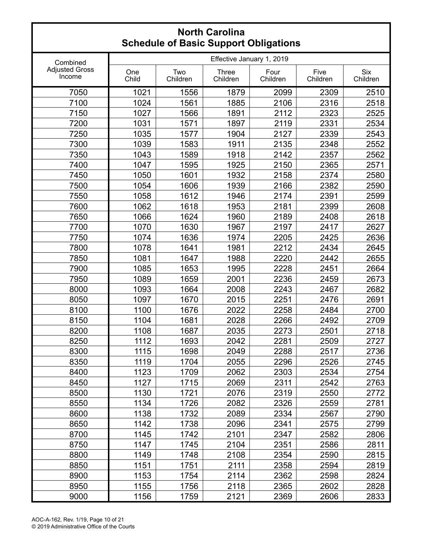|                                 |              |                 |                           | •ש               |                  |                        |
|---------------------------------|--------------|-----------------|---------------------------|------------------|------------------|------------------------|
| Combined                        |              |                 | Effective January 1, 2019 |                  |                  |                        |
| <b>Adjusted Gross</b><br>Income | One<br>Child | Two<br>Children | <b>Three</b><br>Children  | Four<br>Children | Five<br>Children | <b>Six</b><br>Children |
| 7050                            | 1021         | 1556            | 1879                      | 2099             | 2309             | 2510                   |
| 7100                            | 1024         | 1561            | 1885                      | 2106             | 2316             | 2518                   |
| 7150                            | 1027         | 1566            | 1891                      | 2112             | 2323             | 2525                   |
| 7200                            | 1031         | 1571            | 1897                      | 2119             | 2331             | 2534                   |
| 7250                            | 1035         | 1577            | 1904                      | 2127             | 2339             | 2543                   |
| 7300                            | 1039         | 1583            | 1911                      | 2135             | 2348             | 2552                   |
| 7350                            | 1043         | 1589            | 1918                      | 2142             | 2357             | 2562                   |
| 7400                            | 1047         | 1595            | 1925                      | 2150             | 2365             | 2571                   |
| 7450                            | 1050         | 1601            | 1932                      | 2158             | 2374             | 2580                   |
| 7500                            | 1054         | 1606            | 1939                      | 2166             | 2382             | 2590                   |
| 7550                            | 1058         | 1612            | 1946                      | 2174             | 2391             | 2599                   |
| 7600                            | 1062         | 1618            | 1953                      | 2181             | 2399             | 2608                   |
| 7650                            | 1066         | 1624            | 1960                      | 2189             | 2408             | 2618                   |
| 7700                            | 1070         | 1630            | 1967                      | 2197             | 2417             | 2627                   |
| 7750                            | 1074         | 1636            | 1974                      | 2205             | 2425             | 2636                   |
| 7800                            | 1078         | 1641            | 1981                      | 2212             | 2434             | 2645                   |
| 7850                            | 1081         | 1647            | 1988                      | 2220             | 2442             | 2655                   |
| 7900                            | 1085         | 1653            | 1995                      | 2228             | 2451             | 2664                   |
| 7950                            | 1089         | 1659            | 2001                      | 2236             | 2459             | 2673                   |
| 8000                            | 1093         | 1664            | 2008                      | 2243             | 2467             | 2682                   |
| 8050                            | 1097         | 1670            | 2015                      | 2251             | 2476             | 2691                   |
| 8100                            | 1100         | 1676            | 2022                      | 2258             | 2484             | 2700                   |
| 8150                            | 1104         | 1681            | 2028                      | 2266             | 2492             | 2709                   |
| 8200                            | 1108         | 1687            | 2035                      | 2273             | 2501             | 2718                   |
| 8250                            | 1112         | 1693            | 2042                      | 2281             | 2509             | 2727                   |
| 8300                            | 1115         | 1698            | 2049                      | 2288             | 2517             | 2736                   |
| 8350                            | 1119         | 1704            | 2055                      | 2296             | 2526             | 2745                   |
| 8400                            | 1123         | 1709            | 2062                      | 2303             | 2534             | 2754                   |
| 8450                            | 1127         | 1715            | 2069                      | 2311             | 2542             | 2763                   |
| 8500                            | 1130         | 1721            | 2076                      | 2319             | 2550             | 2772                   |
| 8550                            | 1134         | 1726            | 2082                      | 2326             | 2559             | 2781                   |
| 8600                            | 1138         | 1732            | 2089                      | 2334             | 2567             | 2790                   |
| 8650                            | 1142         | 1738            | 2096                      | 2341             | 2575             | 2799                   |
| 8700                            | 1145         | 1742            | 2101                      | 2347             | 2582             | 2806                   |
| 8750                            | 1147         | 1745            | 2104                      | 2351             | 2586             | 2811                   |
| 8800                            | 1149         | 1748            | 2108                      | 2354             | 2590             | 2815                   |
| 8850                            | 1151         | 1751            | 2111                      | 2358             | 2594             | 2819                   |
| 8900                            | 1153         | 1754            | 2114                      | 2362             | 2598             | 2824                   |
| 8950                            | 1155         | 1756            | 2118                      | 2365             | 2602             | 2828                   |
| 9000                            | 1156         | 1759            | 2121                      | 2369             | 2606             | 2833                   |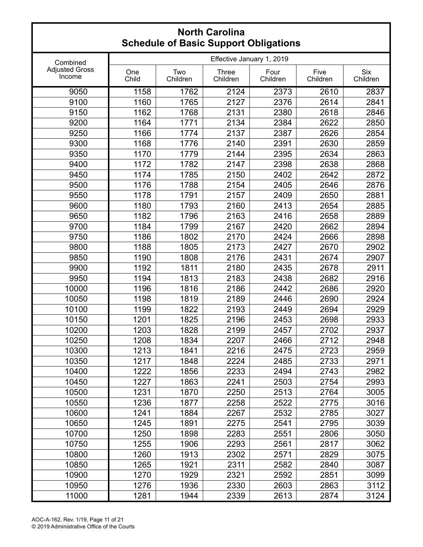|                                 |              |                 | urr                       | עיי∽י            |                  |                        |
|---------------------------------|--------------|-----------------|---------------------------|------------------|------------------|------------------------|
| Combined                        |              |                 | Effective January 1, 2019 |                  |                  |                        |
| <b>Adjusted Gross</b><br>Income | One<br>Child | Two<br>Children | <b>Three</b><br>Children  | Four<br>Children | Five<br>Children | <b>Six</b><br>Children |
| 9050                            | 1158         | 1762            | 2124                      | 2373             | 2610             | 2837                   |
| 9100                            | 1160         | 1765            | 2127                      | 2376             | 2614             | 2841                   |
| 9150                            | 1162         | 1768            | 2131                      | 2380             | 2618             | 2846                   |
| 9200                            | 1164         | 1771            | 2134                      | 2384             | 2622             | 2850                   |
| 9250                            | 1166         | 1774            | 2137                      | 2387             | 2626             | 2854                   |
| 9300                            | 1168         | 1776            | 2140                      | 2391             | 2630             | 2859                   |
| 9350                            | 1170         | 1779            | 2144                      | 2395             | 2634             | 2863                   |
| 9400                            | 1172         | 1782            | 2147                      | 2398             | 2638             | 2868                   |
| 9450                            | 1174         | 1785            | 2150                      | 2402             | 2642             | 2872                   |
| 9500                            | 1176         | 1788            | 2154                      | 2405             | 2646             | 2876                   |
| 9550                            | 1178         | 1791            | 2157                      | 2409             | 2650             | 2881                   |
| 9600                            | 1180         | 1793            | 2160                      | 2413             | 2654             | 2885                   |
| 9650                            | 1182         | 1796            | 2163                      | 2416             | 2658             | 2889                   |
| 9700                            | 1184         | 1799            | 2167                      | 2420             | 2662             | 2894                   |
| 9750                            | 1186         | 1802            | 2170                      | 2424             | 2666             | 2898                   |
| 9800                            | 1188         | 1805            | 2173                      | 2427             | 2670             | 2902                   |
| 9850                            | 1190         | 1808            | 2176                      | 2431             | 2674             | 2907                   |
| 9900                            | 1192         | 1811            | 2180                      | 2435             | 2678             | 2911                   |
| 9950                            | 1194         | 1813            | 2183                      | 2438             | 2682             | 2916                   |
| 10000                           | 1196         | 1816            | 2186                      | 2442             | 2686             | 2920                   |
| 10050                           | 1198         | 1819            | 2189                      | 2446             | 2690             | 2924                   |
| 10100                           | 1199         | 1822            | 2193                      | 2449             | 2694             | 2929                   |
| 10150                           | 1201         | 1825            | 2196                      | 2453             | 2698             | 2933                   |
| 10200                           | 1203         | 1828            | 2199                      | 2457             | 2702             | 2937                   |
| 10250                           | 1208         | 1834            | 2207                      | 2466             | 2712             | 2948                   |
| 10300                           | 1213         | 1841            | 2216                      | 2475             | 2723             | 2959                   |
| 10350                           | 1217         | 1848            | 2224                      | 2485             | 2733             | 2971                   |
| 10400                           | 1222         | 1856            | 2233                      | 2494             | 2743             | 2982                   |
| 10450                           | 1227         | 1863            | 2241                      | 2503             | 2754             | 2993                   |
| 10500                           | 1231         | 1870            | 2250                      | 2513             | 2764             | 3005                   |
| 10550                           | 1236         | 1877            | 2258                      | 2522             | 2775             | 3016                   |
| 10600                           | 1241         | 1884            | 2267                      | 2532             | 2785             | 3027                   |
| 10650                           | 1245         | 1891            | 2275                      | 2541             | 2795             | 3039                   |
| 10700                           | 1250         | 1898            | 2283                      | 2551             | 2806             | 3050                   |
| 10750                           | 1255         | 1906            | 2293                      | 2561             | 2817             | 3062                   |
| 10800                           | 1260         | 1913            | 2302                      | 2571             | 2829             | 3075                   |
| 10850                           | 1265         | 1921            | 2311                      | 2582             | 2840             | 3087                   |
| 10900                           | 1270         | 1929            | 2321                      | 2592             | 2851             | 3099                   |
| 10950                           | 1276         | 1936            | 2330                      | 2603             | 2863             | 3112                   |
| 11000                           | 1281         | 1944            | 2339                      | 2613             | 2874             | 3124                   |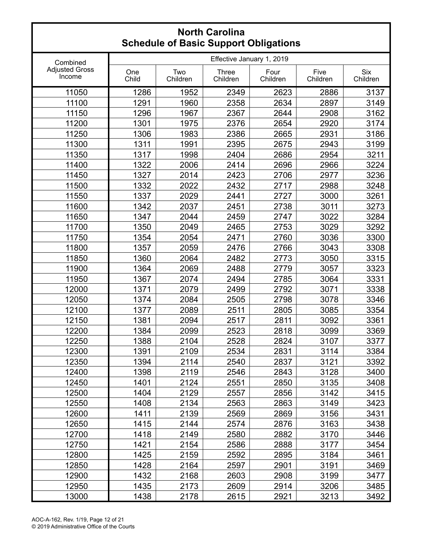|                                 |              |                 | or Baoio Sapport Sprigation |                  |                  |                        |
|---------------------------------|--------------|-----------------|-----------------------------|------------------|------------------|------------------------|
| Combined                        |              |                 | Effective January 1, 2019   |                  |                  |                        |
| <b>Adjusted Gross</b><br>Income | One<br>Child | Two<br>Children | <b>Three</b><br>Children    | Four<br>Children | Five<br>Children | <b>Six</b><br>Children |
| 11050                           | 1286         | 1952            | 2349                        | 2623             | 2886             | 3137                   |
| 11100                           | 1291         | 1960            | 2358                        | 2634             | 2897             | 3149                   |
| 11150                           | 1296         | 1967            | 2367                        | 2644             | 2908             | 3162                   |
| 11200                           | 1301         | 1975            | 2376                        | 2654             | 2920             | 3174                   |
| 11250                           | 1306         | 1983            | 2386                        | 2665             | 2931             | 3186                   |
| 11300                           | 1311         | 1991            | 2395                        | 2675             | 2943             | 3199                   |
| 11350                           | 1317         | 1998            | 2404                        | 2686             | 2954             | 3211                   |
| 11400                           | 1322         | 2006            | 2414                        | 2696             | 2966             | 3224                   |
| 11450                           | 1327         | 2014            | 2423                        | 2706             | 2977             | 3236                   |
| 11500                           | 1332         | 2022            | 2432                        | 2717             | 2988             | 3248                   |
| 11550                           | 1337         | 2029            | 2441                        | 2727             | 3000             | 3261                   |
| 11600                           | 1342         | 2037            | 2451                        | 2738             | 3011             | 3273                   |
| 11650                           | 1347         | 2044            | 2459                        | 2747             | 3022             | 3284                   |
| 11700                           | 1350         | 2049            | 2465                        | 2753             | 3029             | 3292                   |
| 11750                           | 1354         | 2054            | 2471                        | 2760             | 3036             | 3300                   |
| 11800                           | 1357         | 2059            | 2476                        | 2766             | 3043             | 3308                   |
| 11850                           | 1360         | 2064            | 2482                        | 2773             | 3050             | 3315                   |
| 11900                           | 1364         | 2069            | 2488                        | 2779             | 3057             | 3323                   |
| 11950                           | 1367         | 2074            | 2494                        | 2785             | 3064             | 3331                   |
| 12000                           | 1371         | 2079            | 2499                        | 2792             | 3071             | 3338                   |
| 12050                           | 1374         | 2084            | 2505                        | 2798             | 3078             | 3346                   |
| 12100                           | 1377         | 2089            | 2511                        | 2805             | 3085             | 3354                   |
| 12150                           | 1381         | 2094            | 2517                        | 2811             | 3092             | 3361                   |
| 12200                           | 1384         | 2099            | 2523                        | 2818             | 3099             | 3369                   |
| 12250                           | 1388         | 2104            | 2528                        | 2824             | 3107             | 3377                   |
| 12300                           | 1391         | 2109            | 2534                        | 2831             | 3114             | 3384                   |
| 12350                           | 1394         | 2114            | 2540                        | 2837             | 3121             | 3392                   |
| 12400                           | 1398         | 2119            | 2546                        | 2843             | 3128             | 3400                   |
| 12450                           | 1401         | 2124            | 2551                        | 2850             | 3135             | 3408                   |
| 12500                           | 1404         | 2129            | 2557                        | 2856             | 3142             | 3415                   |
| 12550                           | 1408         | 2134            | 2563                        | 2863             | 3149             | 3423                   |
| 12600                           | 1411         | 2139            | 2569                        | 2869             | 3156             | 3431                   |
| 12650                           | 1415         | 2144            | 2574                        | 2876             | 3163             | 3438                   |
| 12700                           | 1418         | 2149            | 2580                        | 2882             | 3170             | 3446                   |
| 12750                           | 1421         | 2154            | 2586                        | 2888             | 3177             | 3454                   |
| 12800                           | 1425         | 2159            | 2592                        | 2895             | 3184             | 3461                   |
| 12850                           | 1428         | 2164            | 2597                        | 2901             | 3191             | 3469                   |
| 12900                           | 1432         | 2168            | 2603                        | 2908             | 3199             | 3477                   |
| 12950                           | 1435         | 2173            | 2609                        | 2914             | 3206             | 3485                   |
| 13000                           | 1438         | 2178            | 2615                        | 2921             | 3213             | 3492                   |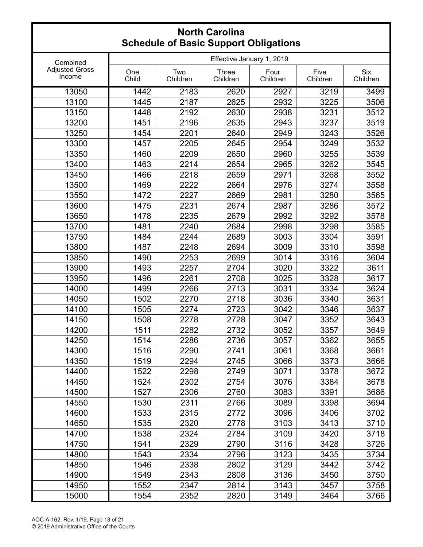|                                 |              |                 | or Baoio Sapport Sprigation |                  |                  |                        |
|---------------------------------|--------------|-----------------|-----------------------------|------------------|------------------|------------------------|
| Combined                        |              |                 | Effective January 1, 2019   |                  |                  |                        |
| <b>Adjusted Gross</b><br>Income | One<br>Child | Two<br>Children | <b>Three</b><br>Children    | Four<br>Children | Five<br>Children | <b>Six</b><br>Children |
| 13050                           | 1442         | 2183            | 2620                        | 2927             | 3219             | 3499                   |
| 13100                           | 1445         | 2187            | 2625                        | 2932             | 3225             | 3506                   |
| 13150                           | 1448         | 2192            | 2630                        | 2938             | 3231             | 3512                   |
| 13200                           | 1451         | 2196            | 2635                        | 2943             | 3237             | 3519                   |
| 13250                           | 1454         | 2201            | 2640                        | 2949             | 3243             | 3526                   |
| 13300                           | 1457         | 2205            | 2645                        | 2954             | 3249             | 3532                   |
| 13350                           | 1460         | 2209            | 2650                        | 2960             | 3255             | 3539                   |
| 13400                           | 1463         | 2214            | 2654                        | 2965             | 3262             | 3545                   |
| 13450                           | 1466         | 2218            | 2659                        | 2971             | 3268             | 3552                   |
| 13500                           | 1469         | 2222            | 2664                        | 2976             | 3274             | 3558                   |
| 13550                           | 1472         | 2227            | 2669                        | 2981             | 3280             | 3565                   |
| 13600                           | 1475         | 2231            | 2674                        | 2987             | 3286             | 3572                   |
| 13650                           | 1478         | 2235            | 2679                        | 2992             | 3292             | 3578                   |
| 13700                           | 1481         | 2240            | 2684                        | 2998             | 3298             | 3585                   |
| 13750                           | 1484         | 2244            | 2689                        | 3003             | 3304             | 3591                   |
| 13800                           | 1487         | 2248            | 2694                        | 3009             | 3310             | 3598                   |
| 13850                           | 1490         | 2253            | 2699                        | 3014             | 3316             | 3604                   |
| 13900                           | 1493         | 2257            | 2704                        | 3020             | 3322             | 3611                   |
| 13950                           | 1496         | 2261            | 2708                        | 3025             | 3328             | 3617                   |
| 14000                           | 1499         | 2266            | 2713                        | 3031             | 3334             | 3624                   |
| 14050                           | 1502         | 2270            | 2718                        | 3036             | 3340             | 3631                   |
| 14100                           | 1505         | 2274            | 2723                        | 3042             | 3346             | 3637                   |
| 14150                           | 1508         | 2278            | 2728                        | 3047             | 3352             | 3643                   |
| 14200                           | 1511         | 2282            | 2732                        | 3052             | 3357             | 3649                   |
| 14250                           | 1514         | 2286            | 2736                        | 3057             | 3362             | 3655                   |
| 14300                           | 1516         | 2290            | 2741                        | 3061             | 3368             | 3661                   |
| 14350                           | 1519         | 2294            | 2745                        | 3066             | 3373             | 3666                   |
| 14400                           | 1522         | 2298            | 2749                        | 3071             | 3378             | 3672                   |
| 14450                           | 1524         | 2302            | 2754                        | 3076             | 3384             | 3678                   |
| 14500                           | 1527         | 2306            | 2760                        | 3083             | 3391             | 3686                   |
| 14550                           | 1530         | 2311            | 2766                        | 3089             | 3398             | 3694                   |
| 14600                           | 1533         | 2315            | 2772                        | 3096             | 3406             | 3702                   |
| 14650                           | 1535         | 2320            | 2778                        | 3103             | 3413             | 3710                   |
| 14700                           | 1538         | 2324            | 2784                        | 3109             | 3420             | 3718                   |
| 14750                           | 1541         | 2329            | 2790                        | 3116             | 3428             | 3726                   |
| 14800                           | 1543         | 2334            | 2796                        | 3123             | 3435             | 3734                   |
| 14850                           | 1546         | 2338            | 2802                        | 3129             | 3442             | 3742                   |
| 14900                           | 1549         | 2343            | 2808                        | 3136             | 3450             | 3750                   |
| 14950                           | 1552         | 2347            | 2814                        | 3143             | 3457             | 3758                   |
| 15000                           | 1554         | 2352            | 2820                        | 3149             | 3464             | 3766                   |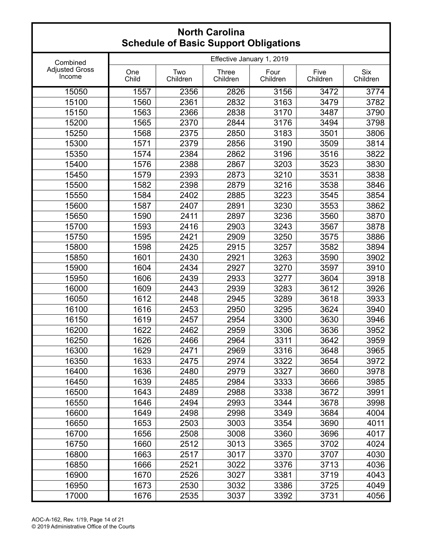|                                 |              |                 | urr                       | ״שיי∼            |                  |                        |
|---------------------------------|--------------|-----------------|---------------------------|------------------|------------------|------------------------|
| Combined                        |              |                 | Effective January 1, 2019 |                  |                  |                        |
| <b>Adjusted Gross</b><br>Income | One<br>Child | Two<br>Children | <b>Three</b><br>Children  | Four<br>Children | Five<br>Children | <b>Six</b><br>Children |
| 15050                           | 1557         | 2356            | 2826                      | 3156             | 3472             | 3774                   |
| 15100                           | 1560         | 2361            | 2832                      | 3163             | 3479             | 3782                   |
| 15150                           | 1563         | 2366            | 2838                      | 3170             | 3487             | 3790                   |
| 15200                           | 1565         | 2370            | 2844                      | 3176             | 3494             | 3798                   |
| 15250                           | 1568         | 2375            | 2850                      | 3183             | 3501             | 3806                   |
| 15300                           | 1571         | 2379            | 2856                      | 3190             | 3509             | 3814                   |
| 15350                           | 1574         | 2384            | 2862                      | 3196             | 3516             | 3822                   |
| 15400                           | 1576         | 2388            | 2867                      | 3203             | 3523             | 3830                   |
| 15450                           | 1579         | 2393            | 2873                      | 3210             | 3531             | 3838                   |
| 15500                           | 1582         | 2398            | 2879                      | 3216             | 3538             | 3846                   |
| 15550                           | 1584         | 2402            | 2885                      | 3223             | 3545             | 3854                   |
| 15600                           | 1587         | 2407            | 2891                      | 3230             | 3553             | 3862                   |
| 15650                           | 1590         | 2411            | 2897                      | 3236             | 3560             | 3870                   |
| 15700                           | 1593         | 2416            | 2903                      | 3243             | 3567             | 3878                   |
| 15750                           | 1595         | 2421            | 2909                      | 3250             | 3575             | 3886                   |
| 15800                           | 1598         | 2425            | 2915                      | 3257             | 3582             | 3894                   |
| 15850                           | 1601         | 2430            | 2921                      | 3263             | 3590             | 3902                   |
| 15900                           | 1604         | 2434            | 2927                      | 3270             | 3597             | 3910                   |
| 15950                           | 1606         | 2439            | 2933                      | 3277             | 3604             | 3918                   |
| 16000                           | 1609         | 2443            | 2939                      | 3283             | 3612             | 3926                   |
| 16050                           | 1612         | 2448            | 2945                      | 3289             | 3618             | 3933                   |
| 16100                           | 1616         | 2453            | 2950                      | 3295             | 3624             | 3940                   |
| 16150                           | 1619         | 2457            | 2954                      | 3300             | 3630             | 3946                   |
| 16200                           | 1622         | 2462            | 2959                      | 3306             | 3636             | 3952                   |
| 16250                           | 1626         | 2466            | 2964                      | 3311             | 3642             | 3959                   |
| 16300                           | 1629         | 2471            | 2969                      | 3316             | 3648             | 3965                   |
| 16350                           | 1633         | 2475            | 2974                      | 3322             | 3654             | 3972                   |
| 16400                           | 1636         | 2480            | 2979                      | 3327             | 3660             | 3978                   |
| 16450                           | 1639         | 2485            | 2984                      | 3333             | 3666             | 3985                   |
| 16500                           | 1643         | 2489            | 2988                      | 3338             | 3672             | 3991                   |
| 16550                           | 1646         | 2494            | 2993                      | 3344             | 3678             | 3998                   |
| 16600                           | 1649         | 2498            | 2998                      | 3349             | 3684             | 4004                   |
| 16650                           | 1653         | 2503            | 3003                      | 3354             | 3690             | 4011                   |
| 16700                           | 1656         | 2508            | 3008                      | 3360             | 3696             | 4017                   |
| 16750                           | 1660         | 2512            | 3013                      | 3365             | 3702             | 4024                   |
| 16800                           | 1663         | 2517            | 3017                      | 3370             | 3707             | 4030                   |
| 16850                           | 1666         | 2521            | 3022                      | 3376             | 3713             | 4036                   |
| 16900                           | 1670         | 2526            | 3027                      | 3381             | 3719             | 4043                   |
| 16950                           | 1673         | 2530            | 3032                      | 3386             | 3725             | 4049                   |
| 17000                           | 1676         | 2535            | 3037                      | 3392             | 3731             | 4056                   |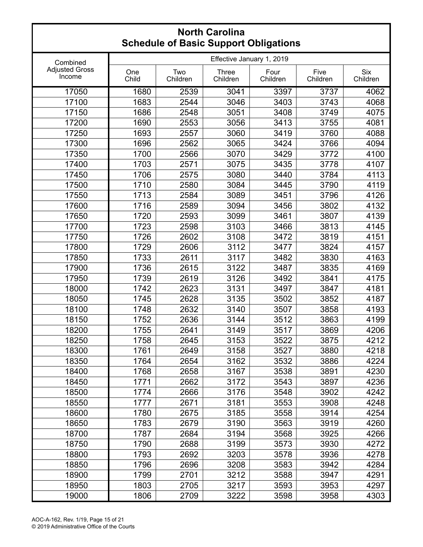| aalo ol Basio Sapport Spilgations |              |                 |                           |                  |                  |                        |  |
|-----------------------------------|--------------|-----------------|---------------------------|------------------|------------------|------------------------|--|
| Combined                          |              |                 | Effective January 1, 2019 |                  |                  |                        |  |
| <b>Adjusted Gross</b><br>Income   | One<br>Child | Two<br>Children | <b>Three</b><br>Children  | Four<br>Children | Five<br>Children | <b>Six</b><br>Children |  |
| 17050                             | 1680         | 2539            | 3041                      | 3397             | 3737             | 4062                   |  |
| 17100                             | 1683         | 2544            | 3046                      | 3403             | 3743             | 4068                   |  |
| 17150                             | 1686         | 2548            | 3051                      | 3408             | 3749             | 4075                   |  |
| 17200                             | 1690         | 2553            | 3056                      | 3413             | 3755             | 4081                   |  |
| 17250                             | 1693         | 2557            | 3060                      | 3419             | 3760             | 4088                   |  |
| 17300                             | 1696         | 2562            | 3065                      | 3424             | 3766             | 4094                   |  |
| 17350                             | 1700         | 2566            | 3070                      | 3429             | 3772             | 4100                   |  |
| 17400                             | 1703         | 2571            | 3075                      | 3435             | 3778             | 4107                   |  |
| 17450                             | 1706         | 2575            | 3080                      | 3440             | 3784             | 4113                   |  |
| 17500                             | 1710         | 2580            | 3084                      | 3445             | 3790             | 4119                   |  |
| 17550                             | 1713         | 2584            | 3089                      | 3451             | 3796             | 4126                   |  |
| 17600                             | 1716         | 2589            | 3094                      | 3456             | 3802             | 4132                   |  |
| 17650                             | 1720         | 2593            | 3099                      | 3461             | 3807             | 4139                   |  |
| 17700                             | 1723         | 2598            | 3103                      | 3466             | 3813             | 4145                   |  |
| 17750                             | 1726         | 2602            | 3108                      | 3472             | 3819             | 4151                   |  |
| 17800                             | 1729         | 2606            | 3112                      | 3477             | 3824             | 4157                   |  |
| 17850                             | 1733         | 2611            | 3117                      | 3482             | 3830             | 4163                   |  |
| 17900                             | 1736         | 2615            | 3122                      | 3487             | 3835             | 4169                   |  |
| 17950                             | 1739         | 2619            | 3126                      | 3492             | 3841             | 4175                   |  |
| 18000                             | 1742         | 2623            | 3131                      | 3497             | 3847             | 4181                   |  |
| 18050                             | 1745         | 2628            | 3135                      | 3502             | 3852             | 4187                   |  |
| 18100                             | 1748         | 2632            | 3140                      | 3507             | 3858             | 4193                   |  |
| 18150                             | 1752         | 2636            | 3144                      | 3512             | 3863             | 4199                   |  |
| 18200                             | 1755         | 2641            | 3149                      | 3517             | 3869             | 4206                   |  |
| 18250                             | 1758         | 2645            | 3153                      | 3522             | 3875             | 4212                   |  |
| 18300                             | 1761         | 2649            | 3158                      | 3527             | 3880             | 4218                   |  |
| 18350                             | 1764         | 2654            | 3162                      | 3532             | 3886             | 4224                   |  |
| 18400                             | 1768         | 2658            | 3167                      | 3538             | 3891             | 4230                   |  |
| 18450                             | 1771         | 2662            | 3172                      | 3543             | 3897             | 4236                   |  |
| 18500                             | 1774         | 2666            | 3176                      | 3548             | 3902             | 4242                   |  |
| 18550                             | 1777         | 2671            | 3181                      | 3553             | 3908             | 4248                   |  |
| 18600                             | 1780         | 2675            | 3185                      | 3558             | 3914             | 4254                   |  |
| 18650                             | 1783         | 2679            | 3190                      | 3563             | 3919             | 4260                   |  |
| 18700                             | 1787         | 2684            | 3194                      | 3568             | 3925             | 4266                   |  |
| 18750                             | 1790         | 2688            | 3199                      | 3573             | 3930             | 4272                   |  |
| 18800                             | 1793         | 2692            | 3203                      | 3578             | 3936             | 4278                   |  |
| 18850                             | 1796         | 2696            | 3208                      | 3583             | 3942             | 4284                   |  |
| 18900                             | 1799         | 2701            | 3212                      | 3588             | 3947             | 4291                   |  |
| 18950                             | 1803         | 2705            | 3217                      | 3593             | 3953             | 4297                   |  |
| 19000                             | 1806         | 2709            | 3222                      | 3598             | 3958             | 4303                   |  |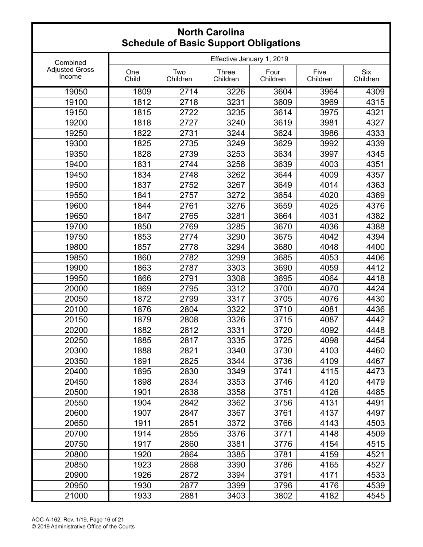|                                 |              |                 | or Basic Sapport Sprigation. |                  |                  |                        |
|---------------------------------|--------------|-----------------|------------------------------|------------------|------------------|------------------------|
| Combined                        |              |                 | Effective January 1, 2019    |                  |                  |                        |
| <b>Adjusted Gross</b><br>Income | One<br>Child | Two<br>Children | <b>Three</b><br>Children     | Four<br>Children | Five<br>Children | <b>Six</b><br>Children |
| 19050                           | 1809         | 2714            | 3226                         | 3604             | 3964             | 4309                   |
| 19100                           | 1812         | 2718            | 3231                         | 3609             | 3969             | 4315                   |
| 19150                           | 1815         | 2722            | 3235                         | 3614             | 3975             | 4321                   |
| 19200                           | 1818         | 2727            | 3240                         | 3619             | 3981             | 4327                   |
| 19250                           | 1822         | 2731            | 3244                         | 3624             | 3986             | 4333                   |
| 19300                           | 1825         | 2735            | 3249                         | 3629             | 3992             | 4339                   |
| 19350                           | 1828         | 2739            | 3253                         | 3634             | 3997             | 4345                   |
| 19400                           | 1831         | 2744            | 3258                         | 3639             | 4003             | 4351                   |
| 19450                           | 1834         | 2748            | 3262                         | 3644             | 4009             | 4357                   |
| 19500                           | 1837         | 2752            | 3267                         | 3649             | 4014             | 4363                   |
| 19550                           | 1841         | 2757            | 3272                         | 3654             | 4020             | 4369                   |
| 19600                           | 1844         | 2761            | 3276                         | 3659             | 4025             | 4376                   |
| 19650                           | 1847         | 2765            | 3281                         | 3664             | 4031             | 4382                   |
| 19700                           | 1850         | 2769            | 3285                         | 3670             | 4036             | 4388                   |
| 19750                           | 1853         | 2774            | 3290                         | 3675             | 4042             | 4394                   |
| 19800                           | 1857         | 2778            | 3294                         | 3680             | 4048             | 4400                   |
| 19850                           | 1860         | 2782            | 3299                         | 3685             | 4053             | 4406                   |
| 19900                           | 1863         | 2787            | 3303                         | 3690             | 4059             | 4412                   |
| 19950                           | 1866         | 2791            | 3308                         | 3695             | 4064             | 4418                   |
| 20000                           | 1869         | 2795            | 3312                         | 3700             | 4070             | 4424                   |
| 20050                           | 1872         | 2799            | 3317                         | 3705             | 4076             | 4430                   |
| 20100                           | 1876         | 2804            | 3322                         | 3710             | 4081             | 4436                   |
| 20150                           | 1879         | 2808            | 3326                         | 3715             | 4087             | 4442                   |
| 20200                           | 1882         | 2812            | 3331                         | 3720             | 4092             | 4448                   |
| 20250                           | 1885         | 2817            | 3335                         | 3725             | 4098             | 4454                   |
| 20300                           | 1888         | 2821            | 3340                         | 3730             | 4103             | 4460                   |
| 20350                           | 1891         | 2825            | 3344                         | 3736             | 4109             | 4467                   |
| 20400                           | 1895         | 2830            | 3349                         | 3741             | 4115             | 4473                   |
| 20450                           | 1898         | 2834            | 3353                         | 3746             | 4120             | 4479                   |
| 20500                           | 1901         | 2838            | 3358                         | 3751             | 4126             | 4485                   |
| 20550                           | 1904         | 2842            | 3362                         | 3756             | 4131             | 4491                   |
| 20600                           | 1907         | 2847            | 3367                         | 3761             | 4137             | 4497                   |
| 20650                           | 1911         | 2851            | 3372                         | 3766             | 4143             | 4503                   |
| 20700                           | 1914         | 2855            | 3376                         | 3771             | 4148             | 4509                   |
| 20750                           | 1917         | 2860            | 3381                         | 3776             | 4154             | 4515                   |
| 20800                           | 1920         | 2864            | 3385                         | 3781             | 4159             | 4521                   |
| 20850                           | 1923         | 2868            | 3390                         | 3786             | 4165             | 4527                   |
| 20900                           | 1926         | 2872            | 3394                         | 3791             | 4171             | 4533                   |
| 20950                           | 1930         | 2877            | 3399                         | 3796             | 4176             | 4539                   |
| 21000                           | 1933         | 2881            | 3403                         | 3802             | 4182             | 4545                   |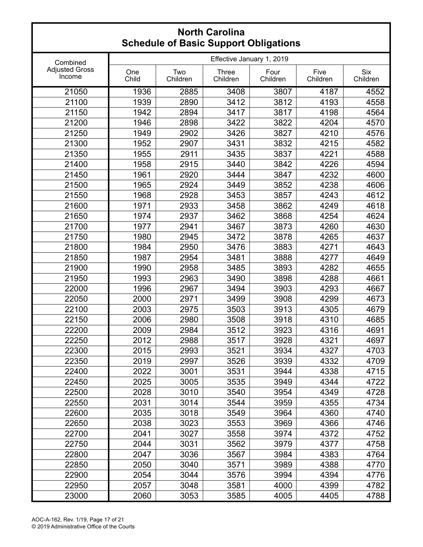|                                 |              |                 | or Baoio Sapport Sprigation |                  |                  |                        |
|---------------------------------|--------------|-----------------|-----------------------------|------------------|------------------|------------------------|
| Combined                        |              |                 | Effective January 1, 2019   |                  |                  |                        |
| <b>Adjusted Gross</b><br>Income | One<br>Child | Two<br>Children | <b>Three</b><br>Children    | Four<br>Children | Five<br>Children | <b>Six</b><br>Children |
| 21050                           | 1936         | 2885            | 3408                        | 3807             | 4187             | 4552                   |
| 21100                           | 1939         | 2890            | 3412                        | 3812             | 4193             | 4558                   |
| 21150                           | 1942         | 2894            | 3417                        | 3817             | 4198             | 4564                   |
| 21200                           | 1946         | 2898            | 3422                        | 3822             | 4204             | 4570                   |
| 21250                           | 1949         | 2902            | 3426                        | 3827             | 4210             | 4576                   |
| 21300                           | 1952         | 2907            | 3431                        | 3832             | 4215             | 4582                   |
| 21350                           | 1955         | 2911            | 3435                        | 3837             | 4221             | 4588                   |
| 21400                           | 1958         | 2915            | 3440                        | 3842             | 4226             | 4594                   |
| 21450                           | 1961         | 2920            | 3444                        | 3847             | 4232             | 4600                   |
| 21500                           | 1965         | 2924            | 3449                        | 3852             | 4238             | 4606                   |
| 21550                           | 1968         | 2928            | 3453                        | 3857             | 4243             | 4612                   |
| 21600                           | 1971         | 2933            | 3458                        | 3862             | 4249             | 4618                   |
| 21650                           | 1974         | 2937            | 3462                        | 3868             | 4254             | 4624                   |
| 21700                           | 1977         | 2941            | 3467                        | 3873             | 4260             | 4630                   |
| 21750                           | 1980         | 2945            | 3472                        | 3878             | 4265             | 4637                   |
| 21800                           | 1984         | 2950            | 3476                        | 3883             | 4271             | 4643                   |
| 21850                           | 1987         | 2954            | 3481                        | 3888             | 4277             | 4649                   |
| 21900                           | 1990         | 2958            | 3485                        | 3893             | 4282             | 4655                   |
| 21950                           | 1993         | 2963            | 3490                        | 3898             | 4288             | 4661                   |
| 22000                           | 1996         | 2967            | 3494                        | 3903             | 4293             | 4667                   |
| 22050                           | 2000         | 2971            | 3499                        | 3908             | 4299             | 4673                   |
| 22100                           | 2003         | 2975            | 3503                        | 3913             | 4305             | 4679                   |
| 22150                           | 2006         | 2980            | 3508                        | 3918             | 4310             | 4685                   |
| 22200                           | 2009         | 2984            | 3512                        | 3923             | 4316             | 4691                   |
| 22250                           | 2012         | 2988            | 3517                        | 3928             | 4321             | 4697                   |
| 22300                           | 2015         | 2993            | 3521                        | 3934             | 4327             | 4703                   |
| 22350                           | 2019         | 2997            | 3526                        | 3939             | 4332             | 4709                   |
| 22400                           | 2022         | 3001            | 3531                        | 3944             | 4338             | 4715                   |
| 22450                           | 2025         | 3005            | 3535                        | 3949             | 4344             | 4722                   |
| 22500                           | 2028         | 3010            | 3540                        | 3954             | 4349             | 4728                   |
| 22550                           | 2031         | 3014            | 3544                        | 3959             | 4355             | 4734                   |
| 22600                           | 2035         | 3018            | 3549                        | 3964             | 4360             | 4740                   |
| 22650                           | 2038         | 3023            | 3553                        | 3969             | 4366             | 4746                   |
| 22700                           | 2041         | 3027            | 3558                        | 3974             | 4372             | 4752                   |
| 22750                           | 2044         | 3031            | 3562                        | 3979             | 4377             | 4758                   |
| 22800                           | 2047         | 3036            | 3567                        | 3984             | 4383             | 4764                   |
| 22850                           | 2050         | 3040            | 3571                        | 3989             | 4388             | 4770                   |
| 22900                           | 2054         | 3044            | 3576                        | 3994             | 4394             | 4776                   |
| 22950                           | 2057         | 3048            | 3581                        | 4000             | 4399             | 4782                   |
| 23000                           | 2060         | 3053            | 3585                        | 4005             | 4405             | 4788                   |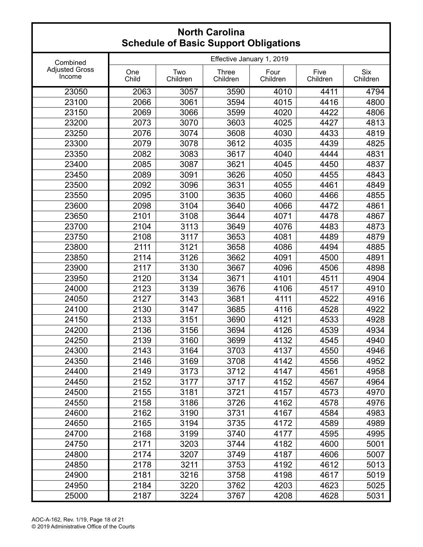|                                 |              |                 | or Basic Sapport Sprigation. |                  |                  |                        |
|---------------------------------|--------------|-----------------|------------------------------|------------------|------------------|------------------------|
| Combined                        |              |                 | Effective January 1, 2019    |                  |                  |                        |
| <b>Adjusted Gross</b><br>Income | One<br>Child | Two<br>Children | <b>Three</b><br>Children     | Four<br>Children | Five<br>Children | <b>Six</b><br>Children |
| 23050                           | 2063         | 3057            | 3590                         | 4010             | 4411             | 4794                   |
| 23100                           | 2066         | 3061            | 3594                         | 4015             | 4416             | 4800                   |
| 23150                           | 2069         | 3066            | 3599                         | 4020             | 4422             | 4806                   |
| 23200                           | 2073         | 3070            | 3603                         | 4025             | 4427             | 4813                   |
| 23250                           | 2076         | 3074            | 3608                         | 4030             | 4433             | 4819                   |
| 23300                           | 2079         | 3078            | 3612                         | 4035             | 4439             | 4825                   |
| 23350                           | 2082         | 3083            | 3617                         | 4040             | 4444             | 4831                   |
| 23400                           | 2085         | 3087            | 3621                         | 4045             | 4450             | 4837                   |
| 23450                           | 2089         | 3091            | 3626                         | 4050             | 4455             | 4843                   |
| 23500                           | 2092         | 3096            | 3631                         | 4055             | 4461             | 4849                   |
| 23550                           | 2095         | 3100            | 3635                         | 4060             | 4466             | 4855                   |
| 23600                           | 2098         | 3104            | 3640                         | 4066             | 4472             | 4861                   |
| 23650                           | 2101         | 3108            | 3644                         | 4071             | 4478             | 4867                   |
| 23700                           | 2104         | 3113            | 3649                         | 4076             | 4483             | 4873                   |
| 23750                           | 2108         | 3117            | 3653                         | 4081             | 4489             | 4879                   |
| 23800                           | 2111         | 3121            | 3658                         | 4086             | 4494             | 4885                   |
| 23850                           | 2114         | 3126            | 3662                         | 4091             | 4500             | 4891                   |
| 23900                           | 2117         | 3130            | 3667                         | 4096             | 4506             | 4898                   |
| 23950                           | 2120         | 3134            | 3671                         | 4101             | 4511             | 4904                   |
| 24000                           | 2123         | 3139            | 3676                         | 4106             | 4517             | 4910                   |
| 24050                           | 2127         | 3143            | 3681                         | 4111             | 4522             | 4916                   |
| 24100                           | 2130         | 3147            | 3685                         | 4116             | 4528             | 4922                   |
| 24150                           | 2133         | 3151            | 3690                         | 4121             | 4533             | 4928                   |
| 24200                           | 2136         | 3156            | 3694                         | 4126             | 4539             | 4934                   |
| 24250                           | 2139         | 3160            | 3699                         | 4132             | 4545             | 4940                   |
| 24300                           | 2143         | 3164            | 3703                         | 4137             | 4550             | 4946                   |
| 24350                           | 2146         | 3169            | 3708                         | 4142             | 4556             | 4952                   |
| 24400                           | 2149         | 3173            | 3712                         | 4147             | 4561             | 4958                   |
| 24450                           | 2152         | 3177            | 3717                         | 4152             | 4567             | 4964                   |
| 24500                           | 2155         | 3181            | 3721                         | 4157             | 4573             | 4970                   |
| 24550                           | 2158         | 3186            | 3726                         | 4162             | 4578             | 4976                   |
| 24600                           | 2162         | 3190            | 3731                         | 4167             | 4584             | 4983                   |
| 24650                           | 2165         | 3194            | 3735                         | 4172             | 4589             | 4989                   |
| 24700                           | 2168         | 3199            | 3740                         | 4177             | 4595             | 4995                   |
| 24750                           | 2171         | 3203            | 3744                         | 4182             | 4600             | 5001                   |
| 24800                           | 2174         | 3207            | 3749                         | 4187             | 4606             | 5007                   |
| 24850                           | 2178         | 3211            | 3753                         | 4192             | 4612             | 5013                   |
| 24900                           | 2181         | 3216            | 3758                         | 4198             | 4617             | 5019                   |
| 24950                           | 2184         | 3220            | 3762                         | 4203             | 4623             | 5025                   |
| 25000                           | 2187         | 3224            | 3767                         | 4208             | 4628             | 5031                   |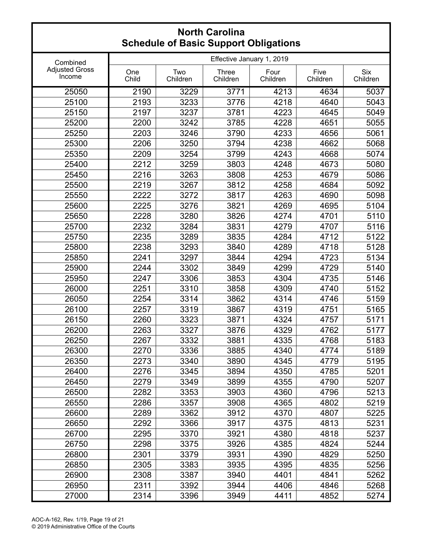|                                 |                           | aalo ol Basio Sapport Spilgations |                          |                  |                  |                        |  |
|---------------------------------|---------------------------|-----------------------------------|--------------------------|------------------|------------------|------------------------|--|
| Combined                        | Effective January 1, 2019 |                                   |                          |                  |                  |                        |  |
| <b>Adjusted Gross</b><br>Income | One<br>Child              | Two<br>Children                   | <b>Three</b><br>Children | Four<br>Children | Five<br>Children | <b>Six</b><br>Children |  |
| 25050                           | 2190                      | 3229                              | 3771                     | 4213             | 4634             | 5037                   |  |
| 25100                           | 2193                      | 3233                              | 3776                     | 4218             | 4640             | 5043                   |  |
| 25150                           | 2197                      | 3237                              | 3781                     | 4223             | 4645             | 5049                   |  |
| 25200                           | 2200                      | 3242                              | 3785                     | 4228             | 4651             | 5055                   |  |
| 25250                           | 2203                      | 3246                              | 3790                     | 4233             | 4656             | 5061                   |  |
| 25300                           | 2206                      | 3250                              | 3794                     | 4238             | 4662             | 5068                   |  |
| 25350                           | 2209                      | 3254                              | 3799                     | 4243             | 4668             | 5074                   |  |
| 25400                           | 2212                      | 3259                              | 3803                     | 4248             | 4673             | 5080                   |  |
| 25450                           | 2216                      | 3263                              | 3808                     | 4253             | 4679             | 5086                   |  |
| 25500                           | 2219                      | 3267                              | 3812                     | 4258             | 4684             | 5092                   |  |
| 25550                           | 2222                      | 3272                              | 3817                     | 4263             | 4690             | 5098                   |  |
| 25600                           | 2225                      | 3276                              | 3821                     | 4269             | 4695             | 5104                   |  |
| 25650                           | 2228                      | 3280                              | 3826                     | 4274             | 4701             | 5110                   |  |
| 25700                           | 2232                      | 3284                              | 3831                     | 4279             | 4707             | 5116                   |  |
| 25750                           | 2235                      | 3289                              | 3835                     | 4284             | 4712             | 5122                   |  |
| 25800                           | 2238                      | 3293                              | 3840                     | 4289             | 4718             | 5128                   |  |
| 25850                           | 2241                      | 3297                              | 3844                     | 4294             | 4723             | 5134                   |  |
| 25900                           | 2244                      | 3302                              | 3849                     | 4299             | 4729             | 5140                   |  |
| 25950                           | 2247                      | 3306                              | 3853                     | 4304             | 4735             | 5146                   |  |
| 26000                           | 2251                      | 3310                              | 3858                     | 4309             | 4740             | 5152                   |  |
| 26050                           | 2254                      | 3314                              | 3862                     | 4314             | 4746             | 5159                   |  |
| 26100                           | 2257                      | 3319                              | 3867                     | 4319             | 4751             | 5165                   |  |
| 26150                           | 2260                      | 3323                              | 3871                     | 4324             | 4757             | 5171                   |  |
| 26200                           | 2263                      | 3327                              | 3876                     | 4329             | 4762             | 5177                   |  |
| 26250                           | 2267                      | 3332                              | 3881                     | 4335             | 4768             | 5183                   |  |
| 26300                           | 2270                      | 3336                              | 3885                     | 4340             | 4774             | 5189                   |  |
| 26350                           | 2273                      | 3340                              | 3890                     | 4345             | 4779             | 5195                   |  |
| 26400                           | 2276                      | 3345                              | 3894                     | 4350             | 4785             | 5201                   |  |
| 26450                           | 2279                      | 3349                              | 3899                     | 4355             | 4790             | 5207                   |  |
| 26500                           | 2282                      | 3353                              | 3903                     | 4360             | 4796             | 5213                   |  |
| 26550                           | 2286                      | 3357                              | 3908                     | 4365             | 4802             | 5219                   |  |
| 26600                           | 2289                      | 3362                              | 3912                     | 4370             | 4807             | 5225                   |  |
| 26650                           | 2292                      | 3366                              | 3917                     | 4375             | 4813             | 5231                   |  |
| 26700                           | 2295                      | 3370                              | 3921                     | 4380             | 4818             | 5237                   |  |
| 26750                           | 2298                      | 3375                              | 3926                     | 4385             | 4824             | 5244                   |  |
| 26800                           | 2301                      | 3379                              | 3931                     | 4390             | 4829             | 5250                   |  |
| 26850                           | 2305                      | 3383                              | 3935                     | 4395             | 4835             | 5256                   |  |
| 26900                           | 2308                      | 3387                              | 3940                     | 4401             | 4841             | 5262                   |  |
| 26950                           | 2311                      | 3392                              | 3944                     | 4406             | 4846             | 5268                   |  |
| 27000                           | 2314                      | 3396                              | 3949                     | 4411             | 4852             | 5274                   |  |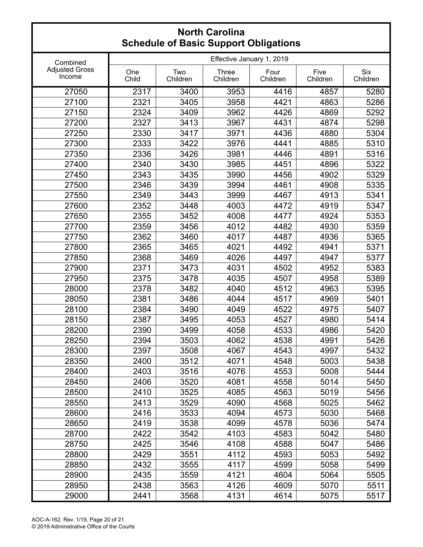|                                 |                           |                 | or Baoio Sapport Sprigations |                  |                  |                        |  |
|---------------------------------|---------------------------|-----------------|------------------------------|------------------|------------------|------------------------|--|
| Combined                        | Effective January 1, 2019 |                 |                              |                  |                  |                        |  |
| <b>Adjusted Gross</b><br>Income | One<br>Child              | Two<br>Children | <b>Three</b><br>Children     | Four<br>Children | Five<br>Children | <b>Six</b><br>Children |  |
| 27050                           | 2317                      | 3400            | 3953                         | 4416             | 4857             | 5280                   |  |
| 27100                           | 2321                      | 3405            | 3958                         | 4421             | 4863             | 5286                   |  |
| 27150                           | 2324                      | 3409            | 3962                         | 4426             | 4869             | 5292                   |  |
| 27200                           | 2327                      | 3413            | 3967                         | 4431             | 4874             | 5298                   |  |
| 27250                           | 2330                      | 3417            | 3971                         | 4436             | 4880             | 5304                   |  |
| 27300                           | 2333                      | 3422            | 3976                         | 4441             | 4885             | 5310                   |  |
| 27350                           | 2336                      | 3426            | 3981                         | 4446             | 4891             | 5316                   |  |
| 27400                           | 2340                      | 3430            | 3985                         | 4451             | 4896             | 5322                   |  |
| 27450                           | 2343                      | 3435            | 3990                         | 4456             | 4902             | 5329                   |  |
| 27500                           | 2346                      | 3439            | 3994                         | 4461             | 4908             | 5335                   |  |
| 27550                           | 2349                      | 3443            | 3999                         | 4467             | 4913             | 5341                   |  |
| 27600                           | 2352                      | 3448            | 4003                         | 4472             | 4919             | 5347                   |  |
| 27650                           | 2355                      | 3452            | 4008                         | 4477             | 4924             | 5353                   |  |
| 27700                           | 2359                      | 3456            | 4012                         | 4482             | 4930             | 5359                   |  |
| 27750                           | 2362                      | 3460            | 4017                         | 4487             | 4936             | 5365                   |  |
| 27800                           | 2365                      | 3465            | 4021                         | 4492             | 4941             | 5371                   |  |
| 27850                           | 2368                      | 3469            | 4026                         | 4497             | 4947             | 5377                   |  |
| 27900                           | 2371                      | 3473            | 4031                         | 4502             | 4952             | 5383                   |  |
| 27950                           | 2375                      | 3478            | 4035                         | 4507             | 4958             | 5389                   |  |
| 28000                           | 2378                      | 3482            | 4040                         | 4512             | 4963             | 5395                   |  |
| 28050                           | 2381                      | 3486            | 4044                         | 4517             | 4969             | 5401                   |  |
| 28100                           | 2384                      | 3490            | 4049                         | 4522             | 4975             | 5407                   |  |
| 28150                           | 2387                      | 3495            | 4053                         | 4527             | 4980             | 5414                   |  |
| 28200                           | 2390                      | 3499            | 4058                         | 4533             | 4986             | 5420                   |  |
| 28250                           | 2394                      | 3503            | 4062                         | 4538             | 4991             | 5426                   |  |
| 28300                           | 2397                      | 3508            | 4067                         | 4543             | 4997             | 5432                   |  |
| 28350                           | 2400                      | 3512            | 4071                         | 4548             | 5003             | 5438                   |  |
| 28400                           | 2403                      | 3516            | 4076                         | 4553             | 5008             | 5444                   |  |
| 28450                           | 2406                      | 3520            | 4081                         | 4558             | 5014             | 5450                   |  |
| 28500                           | 2410                      | 3525            | 4085                         | 4563             | 5019             | 5456                   |  |
| 28550                           | 2413                      | 3529            | 4090                         | 4568             | 5025             | 5462                   |  |
| 28600                           | 2416                      | 3533            | 4094                         | 4573             | 5030             | 5468                   |  |
| 28650                           | 2419                      | 3538            | 4099                         | 4578             | 5036             | 5474                   |  |
| 28700                           | 2422                      | 3542            | 4103                         | 4583             | 5042             | 5480                   |  |
| 28750                           | 2425                      | 3546            | 4108                         | 4588             | 5047             | 5486                   |  |
| 28800                           | 2429                      | 3551            | 4112                         | 4593             | 5053             | 5492                   |  |
| 28850                           | 2432                      | 3555            | 4117                         | 4599             | 5058             | 5499                   |  |
| 28900                           | 2435                      | 3559            | 4121                         | 4604             | 5064             | 5505                   |  |
| 28950                           | 2438                      | 3563            | 4126                         | 4609             | 5070             | 5511                   |  |
| 29000                           | 2441                      | 3568            | 4131                         | 4614             | 5075             | 5517                   |  |